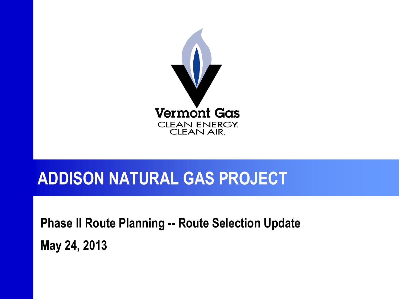

#### **ADDISON NATURAL GAS PROJECT**

**Phase II Route Planning -- Route Selection Update May 24, 2013**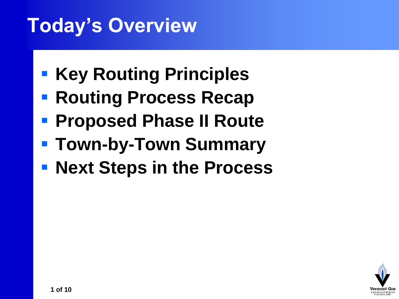# **Today's Overview**

- **Key Routing Principles**
- **Routing Process Recap**
- **Proposed Phase II Route**
- **Town-by-Town Summary**
- **Rext Steps in the Process**

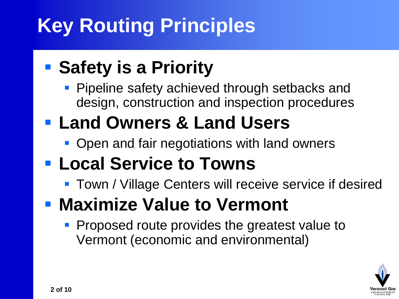# **Key Routing Principles**

#### **E** Safety is a Priority

**Pipeline safety achieved through setbacks and** design, construction and inspection procedures

#### **Land Owners & Land Users**

- Open and fair negotiations with land owners
- **Local Service to Towns**
	- **Town / Village Centers will receive service if desired**

#### **- Maximize Value to Vermont**

**Proposed route provides the greatest value to** Vermont (economic and environmental)

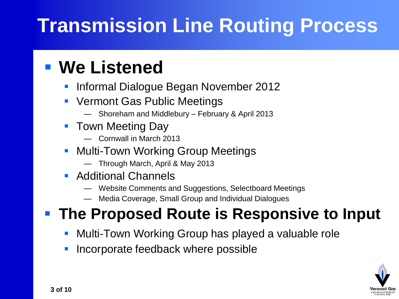# **Transmission Line Routing Process**

#### **We Listened**

- Informal Dialogue Began November 2012
- **Vermont Gas Public Meetings** 
	- Shoreham and Middlebury February & April 2013
- **Town Meeting Day** 
	- Cornwall in March 2013
- **Multi-Town Working Group Meetings** 
	- Through March, April & May 2013
- **Additional Channels** 
	- Website Comments and Suggestions, Selectboard Meetings
	- Media Coverage, Small Group and Individual Dialogues

#### **The Proposed Route is Responsive to Input**

- Multi-Town Working Group has played a valuable role
- Incorporate feedback where possible

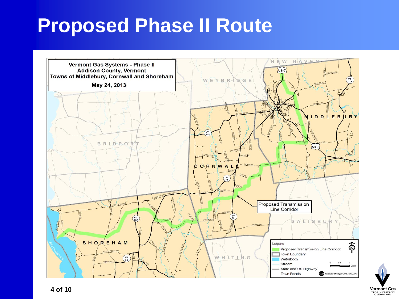#### **Proposed Phase II Route**



Vermont Gas CLEAN ENERGY.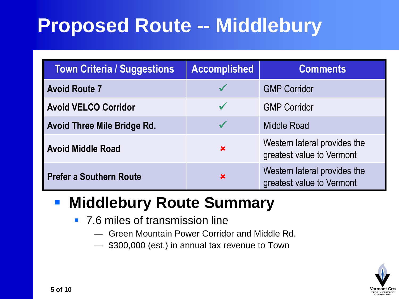# **Proposed Route -- Middlebury**

| <b>Town Criteria / Suggestions</b> | <b>Accomplished</b> | <b>Comments</b>                                           |
|------------------------------------|---------------------|-----------------------------------------------------------|
| <b>Avoid Route 7</b>               |                     | <b>GMP Corridor</b>                                       |
| <b>Avoid VELCO Corridor</b>        |                     | <b>GMP Corridor</b>                                       |
| <b>Avoid Three Mile Bridge Rd.</b> |                     | Middle Road                                               |
| <b>Avoid Middle Road</b>           | $\mathbf x$         | Western lateral provides the<br>greatest value to Vermont |
| <b>Prefer a Southern Route</b>     | $\mathbf x$         | Western lateral provides the<br>greatest value to Vermont |

#### **Middlebury Route Summary**

- 7.6 miles of transmission line
	- Green Mountain Power Corridor and Middle Rd.
	- \$300,000 (est.) in annual tax revenue to Town

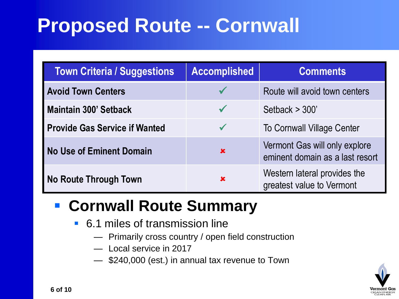# **Proposed Route -- Cornwall**

| <b>Town Criteria / Suggestions</b>   | <b>Accomplished</b> | <b>Comments</b>                                                  |
|--------------------------------------|---------------------|------------------------------------------------------------------|
| <b>Avoid Town Centers</b>            |                     | Route will avoid town centers                                    |
| <b>Maintain 300' Setback</b>         | $\sqrt{}$           | Setback $>$ 300'                                                 |
| <b>Provide Gas Service if Wanted</b> | $\checkmark$        | <b>To Cornwall Village Center</b>                                |
| <b>No Use of Eminent Domain</b>      | $\mathbf x$         | Vermont Gas will only explore<br>eminent domain as a last resort |
| <b>No Route Through Town</b>         | 攵                   | Western lateral provides the<br>greatest value to Vermont        |

#### **Cornwall Route Summary**

- 6.1 miles of transmission line
	- Primarily cross country / open field construction
	- Local service in 2017
	- \$240,000 (est.) in annual tax revenue to Town

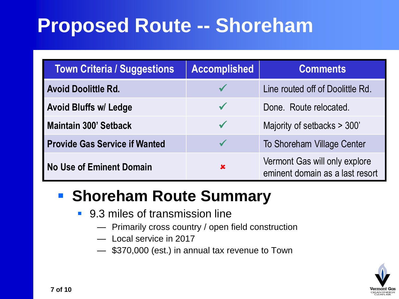#### **Proposed Route -- Shoreham**

| <b>Town Criteria / Suggestions</b>   | <b>Accomplished</b> | <b>Comments</b>                                                  |
|--------------------------------------|---------------------|------------------------------------------------------------------|
| <b>Avoid Doolittle Rd.</b>           |                     | Line routed off of Doolittle Rd.                                 |
| <b>Avoid Bluffs w/ Ledge</b>         | $\checkmark$        | Done. Route relocated.                                           |
| <b>Maintain 300' Setback</b>         | $\checkmark$        | Majority of setbacks > 300'                                      |
| <b>Provide Gas Service if Wanted</b> |                     | To Shoreham Village Center                                       |
| <b>No Use of Eminent Domain</b>      | $\mathbf x$         | Vermont Gas will only explore<br>eminent domain as a last resort |

#### **F** Shoreham Route Summary

- 9.3 miles of transmission line
	- Primarily cross country / open field construction
	- Local service in 2017
	- \$370,000 (est.) in annual tax revenue to Town

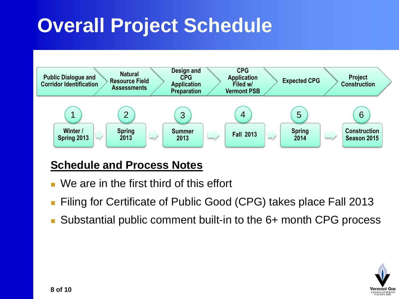# **Overall Project Schedule**



#### **Schedule and Process Notes**

- We are in the first third of this effort
- Filing for Certificate of Public Good (CPG) takes place Fall 2013
- Substantial public comment built-in to the 6+ month CPG process

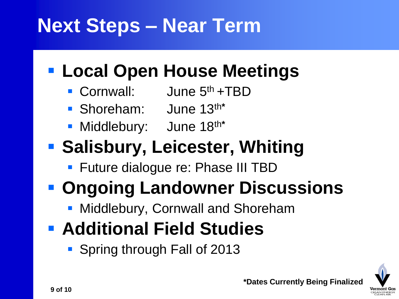# **Next Steps – Near Term**

#### **Local Open House Meetings**

- Cornwall: June 5<sup>th</sup> +TBD
- Shoreham: June 13th**\***
- Middlebury: June 18th**\***

#### **- Salisbury, Leicester, Whiting**

**Future dialogue re: Phase III TBD** 

# **• Ongoing Landowner Discussions**

- **Middlebury, Cornwall and Shoreham**
- **Additional Field Studies**
	- Spring through Fall of 2013